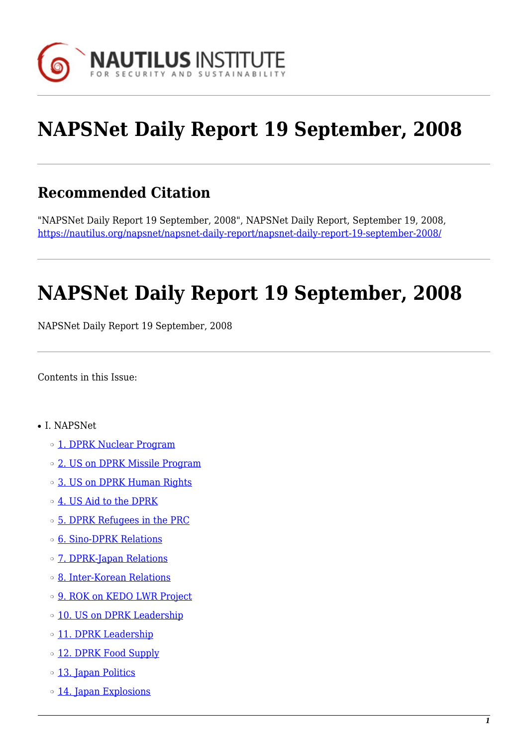

# **NAPSNet Daily Report 19 September, 2008**

# **Recommended Citation**

"NAPSNet Daily Report 19 September, 2008", NAPSNet Daily Report, September 19, 2008, <https://nautilus.org/napsnet/napsnet-daily-report/napsnet-daily-report-19-september-2008/>

# **NAPSNet Daily Report 19 September, 2008**

NAPSNet Daily Report 19 September, 2008

<span id="page-0-0"></span>Contents in this Issue:

- I. NAPSNet
	- o [1. DPRK Nuclear Program](#page-1-0)
	- o [2. US on DPRK Missile Program](#page-1-1)
	- ❍ [3. US on DPRK Human Rights](#page-1-2)
	- ❍ [4. US Aid to the DPRK](#page-2-0)
	- ❍ [5. DPRK Refugees in the PRC](#page-2-1)
	- ❍ [6. Sino-DPRK Relations](#page-2-2)
	- ❍ [7. DPRK-Japan Relations](#page-2-3)
	- ❍ [8. Inter-Korean Relations](#page-3-0)
	- o [9. ROK on KEDO LWR Project](#page-3-1)
	- o [10. US on DPRK Leadership](#page-3-2)
	- o [11. DPRK Leadership](#page-4-0)
	- o [12. DPRK Food Supply](#page-4-1)
	- o [13. Japan Politics](#page-4-2)
	- o [14. Japan Explosions](#page-5-0)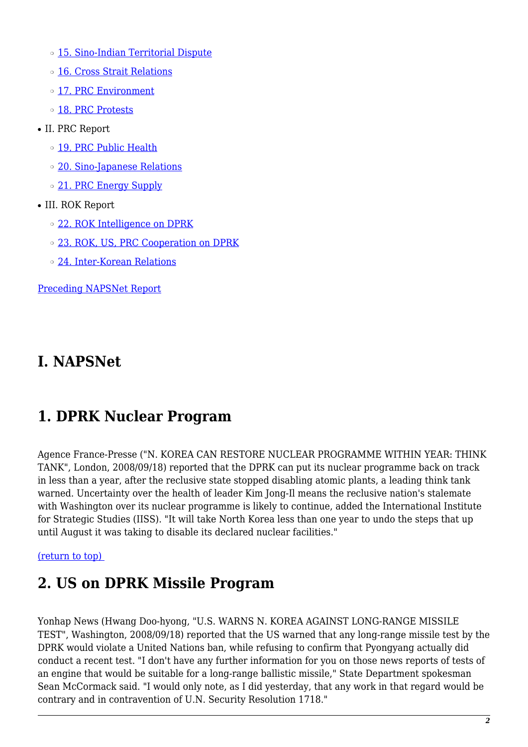- o [15. Sino-Indian Territorial Dispute](#page-5-1)
- ❍ [16. Cross Strait Relations](#page-5-2)
- o [17. PRC Environment](#page-5-3)
- o [18. PRC Protests](#page-6-0)
- II. PRC Report
	- o [19. PRC Public Health](#page-6-1)
	- ❍ [20. Sino-Japanese Relations](#page-6-2)
	- o [21. PRC Energy Supply](#page-6-3)
- III. ROK Report
	- ❍ [22. ROK Intelligence on DPRK](#page-7-0)
	- o [23. ROK, US, PRC Cooperation on DPRK](#page-7-1)
	- ❍ [24. Inter-Korean Relations](#page-8-0)

[Preceding NAPSNet Report](https://nautilus.org/mailing-lists/napsnet/dr/2008-2/napsnet-daily-report-18-september-2008/)

#### **I. NAPSNet**

# <span id="page-1-0"></span>**1. DPRK Nuclear Program**

Agence France-Presse ("N. KOREA CAN RESTORE NUCLEAR PROGRAMME WITHIN YEAR: THINK TANK", London, 2008/09/18) reported that the DPRK can put its nuclear programme back on track in less than a year, after the reclusive state stopped disabling atomic plants, a leading think tank warned. Uncertainty over the health of leader Kim Jong-Il means the reclusive nation's stalemate with Washington over its nuclear programme is likely to continue, added the International Institute for Strategic Studies (IISS). "It will take North Korea less than one year to undo the steps that up until August it was taking to disable its declared nuclear facilities."

#### <span id="page-1-1"></span>[\(return to top\)](#page-0-0)

#### **2. US on DPRK Missile Program**

<span id="page-1-2"></span>Yonhap News (Hwang Doo-hyong, "U.S. WARNS N. KOREA AGAINST LONG-RANGE MISSILE TEST", Washington, 2008/09/18) reported that the US warned that any long-range missile test by the DPRK would violate a United Nations ban, while refusing to confirm that Pyongyang actually did conduct a recent test. "I don't have any further information for you on those news reports of tests of an engine that would be suitable for a long-range ballistic missile," State Department spokesman Sean McCormack said. "I would only note, as I did yesterday, that any work in that regard would be contrary and in contravention of U.N. Security Resolution 1718."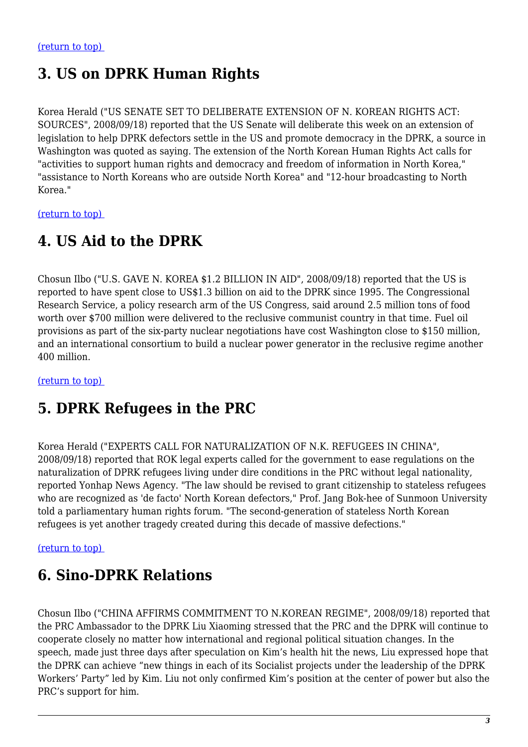# **3. US on DPRK Human Rights**

Korea Herald ("US SENATE SET TO DELIBERATE EXTENSION OF N. KOREAN RIGHTS ACT: SOURCES", 2008/09/18) reported that the US Senate will deliberate this week on an extension of legislation to help DPRK defectors settle in the US and promote democracy in the DPRK, a source in Washington was quoted as saying. The extension of the North Korean Human Rights Act calls for "activities to support human rights and democracy and freedom of information in North Korea," "assistance to North Koreans who are outside North Korea" and "12-hour broadcasting to North Korea."

<span id="page-2-0"></span>[\(return to top\)](#page-0-0) 

#### **4. US Aid to the DPRK**

Chosun Ilbo ("U.S. GAVE N. KOREA \$1.2 BILLION IN AID", 2008/09/18) reported that the US is reported to have spent close to US\$1.3 billion on aid to the DPRK since 1995. The Congressional Research Service, a policy research arm of the US Congress, said around 2.5 million tons of food worth over \$700 million were delivered to the reclusive communist country in that time. Fuel oil provisions as part of the six-party nuclear negotiations have cost Washington close to \$150 million, and an international consortium to build a nuclear power generator in the reclusive regime another 400 million.

<span id="page-2-1"></span>[\(return to top\)](#page-0-0) 

#### **5. DPRK Refugees in the PRC**

Korea Herald ("EXPERTS CALL FOR NATURALIZATION OF N.K. REFUGEES IN CHINA", 2008/09/18) reported that ROK legal experts called for the government to ease regulations on the naturalization of DPRK refugees living under dire conditions in the PRC without legal nationality, reported Yonhap News Agency. "The law should be revised to grant citizenship to stateless refugees who are recognized as 'de facto' North Korean defectors," Prof. Jang Bok-hee of Sunmoon University told a parliamentary human rights forum. "The second-generation of stateless North Korean refugees is yet another tragedy created during this decade of massive defections."

#### <span id="page-2-2"></span>[\(return to top\)](#page-0-0)

#### **6. Sino-DPRK Relations**

<span id="page-2-3"></span>Chosun Ilbo ("CHINA AFFIRMS COMMITMENT TO N.KOREAN REGIME", 2008/09/18) reported that the PRC Ambassador to the DPRK Liu Xiaoming stressed that the PRC and the DPRK will continue to cooperate closely no matter how international and regional political situation changes. In the speech, made just three days after speculation on Kim's health hit the news, Liu expressed hope that the DPRK can achieve "new things in each of its Socialist projects under the leadership of the DPRK Workers' Party" led by Kim. Liu not only confirmed Kim's position at the center of power but also the PRC's support for him.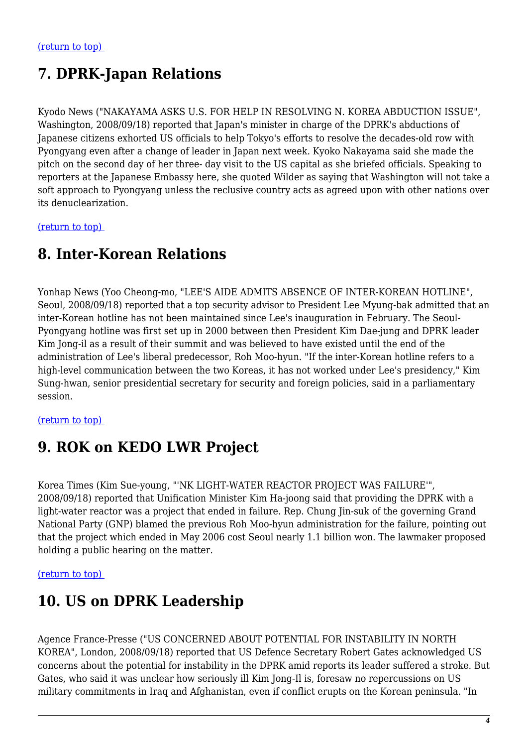# **7. DPRK-Japan Relations**

Kyodo News ("NAKAYAMA ASKS U.S. FOR HELP IN RESOLVING N. KOREA ABDUCTION ISSUE", Washington, 2008/09/18) reported that Japan's minister in charge of the DPRK's abductions of Japanese citizens exhorted US officials to help Tokyo's efforts to resolve the decades-old row with Pyongyang even after a change of leader in Japan next week. Kyoko Nakayama said she made the pitch on the second day of her three- day visit to the US capital as she briefed officials. Speaking to reporters at the Japanese Embassy here, she quoted Wilder as saying that Washington will not take a soft approach to Pyongyang unless the reclusive country acts as agreed upon with other nations over its denuclearization.

<span id="page-3-0"></span>[\(return to top\)](#page-0-0) 

#### **8. Inter-Korean Relations**

Yonhap News (Yoo Cheong-mo, "LEE'S AIDE ADMITS ABSENCE OF INTER-KOREAN HOTLINE", Seoul, 2008/09/18) reported that a top security advisor to President Lee Myung-bak admitted that an inter-Korean hotline has not been maintained since Lee's inauguration in February. The Seoul-Pyongyang hotline was first set up in 2000 between then President Kim Dae-jung and DPRK leader Kim Jong-il as a result of their summit and was believed to have existed until the end of the administration of Lee's liberal predecessor, Roh Moo-hyun. "If the inter-Korean hotline refers to a high-level communication between the two Koreas, it has not worked under Lee's presidency," Kim Sung-hwan, senior presidential secretary for security and foreign policies, said in a parliamentary session.

#### <span id="page-3-1"></span>[\(return to top\)](#page-0-0)

# **9. ROK on KEDO LWR Project**

Korea Times (Kim Sue-young, "'NK LIGHT-WATER REACTOR PROJECT WAS FAILURE'", 2008/09/18) reported that Unification Minister Kim Ha-joong said that providing the DPRK with a light-water reactor was a project that ended in failure. Rep. Chung Jin-suk of the governing Grand National Party (GNP) blamed the previous Roh Moo-hyun administration for the failure, pointing out that the project which ended in May 2006 cost Seoul nearly 1.1 billion won. The lawmaker proposed holding a public hearing on the matter.

#### <span id="page-3-2"></span>[\(return to top\)](#page-0-0)

#### **10. US on DPRK Leadership**

Agence France-Presse ("US CONCERNED ABOUT POTENTIAL FOR INSTABILITY IN NORTH KOREA", London, 2008/09/18) reported that US Defence Secretary Robert Gates acknowledged US concerns about the potential for instability in the DPRK amid reports its leader suffered a stroke. But Gates, who said it was unclear how seriously ill Kim Jong-Il is, foresaw no repercussions on US military commitments in Iraq and Afghanistan, even if conflict erupts on the Korean peninsula. "In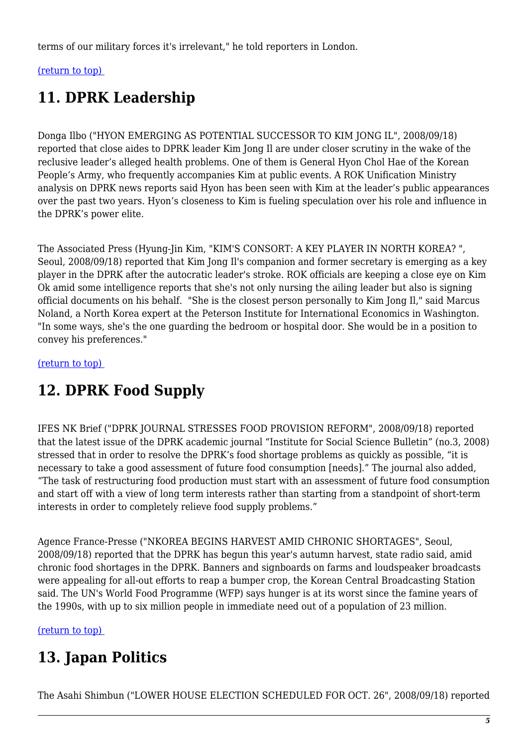terms of our military forces it's irrelevant," he told reporters in London.

#### <span id="page-4-0"></span>[\(return to top\)](#page-0-0)

# **11. DPRK Leadership**

Donga Ilbo ("HYON EMERGING AS POTENTIAL SUCCESSOR TO KIM JONG IL", 2008/09/18) reported that close aides to DPRK leader Kim Jong Il are under closer scrutiny in the wake of the reclusive leader's alleged health problems. One of them is General Hyon Chol Hae of the Korean People's Army, who frequently accompanies Kim at public events. A ROK Unification Ministry analysis on DPRK news reports said Hyon has been seen with Kim at the leader's public appearances over the past two years. Hyon's closeness to Kim is fueling speculation over his role and influence in the DPRK's power elite.

The Associated Press (Hyung-Jin Kim, "KIM'S CONSORT: A KEY PLAYER IN NORTH KOREA? ", Seoul, 2008/09/18) reported that Kim Jong Il's companion and former secretary is emerging as a key player in the DPRK after the autocratic leader's stroke. ROK officials are keeping a close eye on Kim Ok amid some intelligence reports that she's not only nursing the ailing leader but also is signing official documents on his behalf. "She is the closest person personally to Kim Jong Il," said Marcus Noland, a North Korea expert at the Peterson Institute for International Economics in Washington. "In some ways, she's the one guarding the bedroom or hospital door. She would be in a position to convey his preferences."

<span id="page-4-1"></span>[\(return to top\)](#page-0-0) 

# **12. DPRK Food Supply**

IFES NK Brief ("DPRK JOURNAL STRESSES FOOD PROVISION REFORM", 2008/09/18) reported that the latest issue of the DPRK academic journal "Institute for Social Science Bulletin" (no.3, 2008) stressed that in order to resolve the DPRK's food shortage problems as quickly as possible, "it is necessary to take a good assessment of future food consumption [needs]." The journal also added, "The task of restructuring food production must start with an assessment of future food consumption and start off with a view of long term interests rather than starting from a standpoint of short-term interests in order to completely relieve food supply problems."

Agence France-Presse ("NKOREA BEGINS HARVEST AMID CHRONIC SHORTAGES", Seoul, 2008/09/18) reported that the DPRK has begun this year's autumn harvest, state radio said, amid chronic food shortages in the DPRK. Banners and signboards on farms and loudspeaker broadcasts were appealing for all-out efforts to reap a bumper crop, the Korean Central Broadcasting Station said. The UN's World Food Programme (WFP) says hunger is at its worst since the famine years of the 1990s, with up to six million people in immediate need out of a population of 23 million.

<span id="page-4-2"></span>[\(return to top\)](#page-0-0) 

# **13. Japan Politics**

The Asahi Shimbun ("LOWER HOUSE ELECTION SCHEDULED FOR OCT. 26", 2008/09/18) reported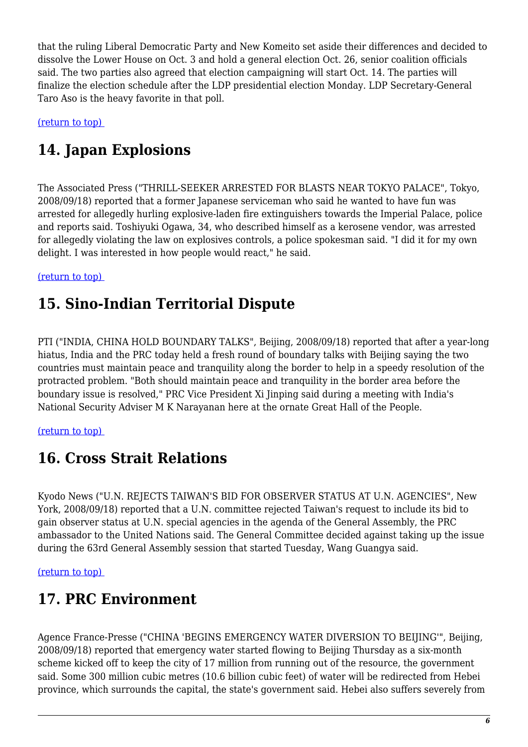that the ruling Liberal Democratic Party and New Komeito set aside their differences and decided to dissolve the Lower House on Oct. 3 and hold a general election Oct. 26, senior coalition officials said. The two parties also agreed that election campaigning will start Oct. 14. The parties will finalize the election schedule after the LDP presidential election Monday. LDP Secretary-General Taro Aso is the heavy favorite in that poll.

<span id="page-5-0"></span>[\(return to top\)](#page-0-0) 

# **14. Japan Explosions**

The Associated Press ("THRILL-SEEKER ARRESTED FOR BLASTS NEAR TOKYO PALACE", Tokyo, 2008/09/18) reported that a former Japanese serviceman who said he wanted to have fun was arrested for allegedly hurling explosive-laden fire extinguishers towards the Imperial Palace, police and reports said. Toshiyuki Ogawa, 34, who described himself as a kerosene vendor, was arrested for allegedly violating the law on explosives controls, a police spokesman said. "I did it for my own delight. I was interested in how people would react," he said.

<span id="page-5-1"></span>[\(return to top\)](#page-0-0) 

# **15. Sino-Indian Territorial Dispute**

PTI ("INDIA, CHINA HOLD BOUNDARY TALKS", Beijing, 2008/09/18) reported that after a year-long hiatus, India and the PRC today held a fresh round of boundary talks with Beijing saying the two countries must maintain peace and tranquility along the border to help in a speedy resolution of the protracted problem. "Both should maintain peace and tranquility in the border area before the boundary issue is resolved," PRC Vice President Xi Jinping said during a meeting with India's National Security Adviser M K Narayanan here at the ornate Great Hall of the People.

<span id="page-5-2"></span>[\(return to top\)](#page-0-0) 

# **16. Cross Strait Relations**

Kyodo News ("U.N. REJECTS TAIWAN'S BID FOR OBSERVER STATUS AT U.N. AGENCIES", New York, 2008/09/18) reported that a U.N. committee rejected Taiwan's request to include its bid to gain observer status at U.N. special agencies in the agenda of the General Assembly, the PRC ambassador to the United Nations said. The General Committee decided against taking up the issue during the 63rd General Assembly session that started Tuesday, Wang Guangya said.

<span id="page-5-3"></span>[\(return to top\)](#page-0-0) 

# **17. PRC Environment**

Agence France-Presse ("CHINA 'BEGINS EMERGENCY WATER DIVERSION TO BEIJING'", Beijing, 2008/09/18) reported that emergency water started flowing to Beijing Thursday as a six-month scheme kicked off to keep the city of 17 million from running out of the resource, the government said. Some 300 million cubic metres (10.6 billion cubic feet) of water will be redirected from Hebei province, which surrounds the capital, the state's government said. Hebei also suffers severely from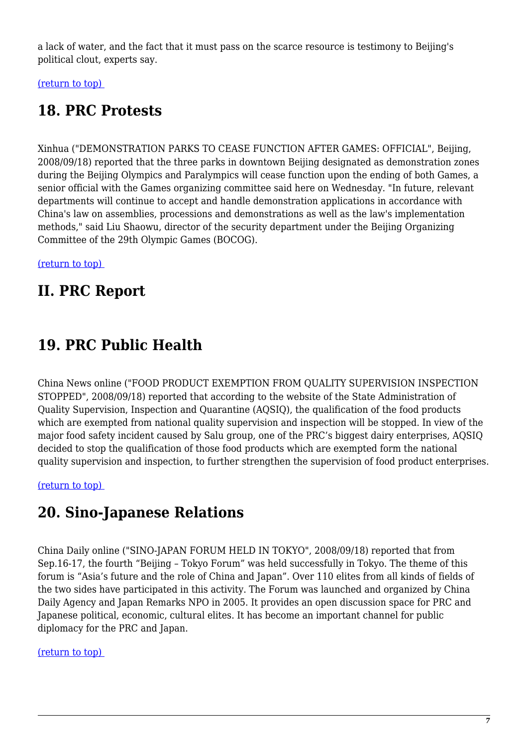a lack of water, and the fact that it must pass on the scarce resource is testimony to Beijing's political clout, experts say.

<span id="page-6-0"></span>[\(return to top\)](#page-0-0) 

# **18. PRC Protests**

Xinhua ("DEMONSTRATION PARKS TO CEASE FUNCTION AFTER GAMES: OFFICIAL", Beijing, 2008/09/18) reported that the three parks in downtown Beijing designated as demonstration zones during the Beijing Olympics and Paralympics will cease function upon the ending of both Games, a senior official with the Games organizing committee said here on Wednesday. "In future, relevant departments will continue to accept and handle demonstration applications in accordance with China's law on assemblies, processions and demonstrations as well as the law's implementation methods," said Liu Shaowu, director of the security department under the Beijing Organizing Committee of the 29th Olympic Games (BOCOG).

[\(return to top\)](#page-0-0) 

# **II. PRC Report**

# <span id="page-6-1"></span>**19. PRC Public Health**

China News online ("FOOD PRODUCT EXEMPTION FROM QUALITY SUPERVISION INSPECTION STOPPED", 2008/09/18) reported that according to the website of the State Administration of Quality Supervision, Inspection and Quarantine (AQSIQ), the qualification of the food products which are exempted from national quality supervision and inspection will be stopped. In view of the major food safety incident caused by Salu group, one of the PRC's biggest dairy enterprises, AQSIQ decided to stop the qualification of those food products which are exempted form the national quality supervision and inspection, to further strengthen the supervision of food product enterprises.

<span id="page-6-2"></span>[\(return to top\)](#page-0-0) 

# **20. Sino-Japanese Relations**

China Daily online ("SINO-JAPAN FORUM HELD IN TOKYO", 2008/09/18) reported that from Sep.16-17, the fourth "Beijing – Tokyo Forum" was held successfully in Tokyo. The theme of this forum is "Asia's future and the role of China and Japan". Over 110 elites from all kinds of fields of the two sides have participated in this activity. The Forum was launched and organized by China Daily Agency and Japan Remarks NPO in 2005. It provides an open discussion space for PRC and Japanese political, economic, cultural elites. It has become an important channel for public diplomacy for the PRC and Japan.

#### <span id="page-6-3"></span>[\(return to top\)](#page-0-0)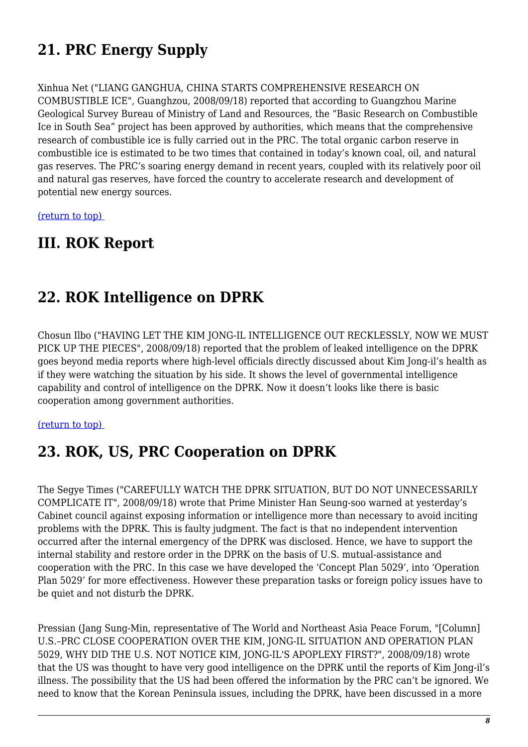# **21. PRC Energy Supply**

Xinhua Net ("LIANG GANGHUA, CHINA STARTS COMPREHENSIVE RESEARCH ON COMBUSTIBLE ICE", Guanghzou, 2008/09/18) reported that according to Guangzhou Marine Geological Survey Bureau of Ministry of Land and Resources, the "Basic Research on Combustible Ice in South Sea" project has been approved by authorities, which means that the comprehensive research of combustible ice is fully carried out in the PRC. The total organic carbon reserve in combustible ice is estimated to be two times that contained in today's known coal, oil, and natural gas reserves. The PRC's soaring energy demand in recent years, coupled with its relatively poor oil and natural gas reserves, have forced the country to accelerate research and development of potential new energy sources.

[\(return to top\)](#page-0-0) 

#### **III. ROK Report**

#### <span id="page-7-0"></span>**22. ROK Intelligence on DPRK**

Chosun Ilbo ("HAVING LET THE KIM JONG-IL INTELLIGENCE OUT RECKLESSLY, NOW WE MUST PICK UP THE PIECES", 2008/09/18) reported that the problem of leaked intelligence on the DPRK goes beyond media reports where high-level officials directly discussed about Kim Jong-il's health as if they were watching the situation by his side. It shows the level of governmental intelligence capability and control of intelligence on the DPRK. Now it doesn't looks like there is basic cooperation among government authorities.

#### <span id="page-7-1"></span>[\(return to top\)](#page-0-0)

#### **23. ROK, US, PRC Cooperation on DPRK**

The Segye Times ("CAREFULLY WATCH THE DPRK SITUATION, BUT DO NOT UNNECESSARILY COMPLICATE IT", 2008/09/18) wrote that Prime Minister Han Seung-soo warned at yesterday's Cabinet council against exposing information or intelligence more than necessary to avoid inciting problems with the DPRK. This is faulty judgment. The fact is that no independent intervention occurred after the internal emergency of the DPRK was disclosed. Hence, we have to support the internal stability and restore order in the DPRK on the basis of U.S. mutual-assistance and cooperation with the PRC. In this case we have developed the 'Concept Plan 5029', into 'Operation Plan 5029' for more effectiveness. However these preparation tasks or foreign policy issues have to be quiet and not disturb the DPRK.

Pressian (Jang Sung-Min, representative of The World and Northeast Asia Peace Forum, "[Column] U.S.–PRC CLOSE COOPERATION OVER THE KIM, JONG-IL SITUATION AND OPERATION PLAN 5029, WHY DID THE U.S. NOT NOTICE KIM, JONG-IL'S APOPLEXY FIRST?", 2008/09/18) wrote that the US was thought to have very good intelligence on the DPRK until the reports of Kim Jong-il's illness. The possibility that the US had been offered the information by the PRC can't be ignored. We need to know that the Korean Peninsula issues, including the DPRK, have been discussed in a more